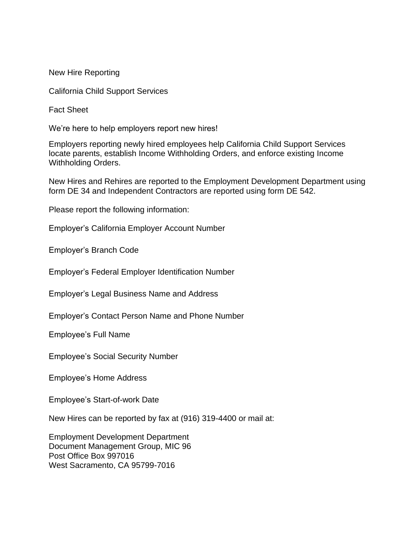New Hire Reporting

California Child Support Services

Fact Sheet

We're here to help employers report new hires!

Employers reporting newly hired employees help California Child Support Services locate parents, establish Income Withholding Orders, and enforce existing Income Withholding Orders.

New Hires and Rehires are reported to the Employment Development Department using form DE 34 and Independent Contractors are reported using form DE 542.

Please report the following information:

Employer's California Employer Account Number

Employer's Branch Code

Employer's Federal Employer Identification Number

Employer's Legal Business Name and Address

Employer's Contact Person Name and Phone Number

Employee's Full Name

Employee's Social Security Number

Employee's Home Address

Employee's Start-of-work Date

New Hires can be reported by fax at (916) 319-4400 or mail at:

Employment Development Department Document Management Group, MIC 96 Post Office Box 997016 West Sacramento, CA 95799-7016